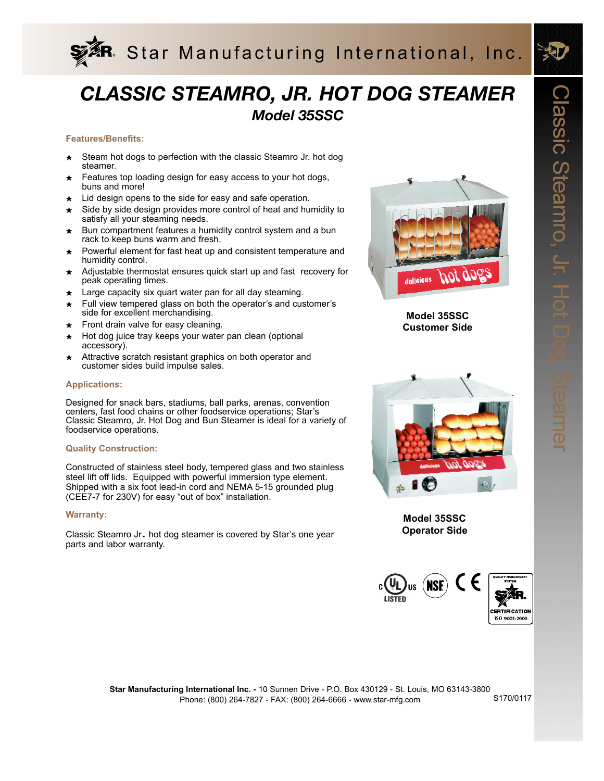

# *CLASSIC STEAMRO, JR. HOT DOG STEAMER Model 35SSC*

#### **Features/Benefits:**

- Steam hot dogs to perfection with the classic Steamro Jr. hot dog steamer.
- Features top loading design for easy access to your hot dogs, buns and more!
- $\star$  Lid design opens to the side for easy and safe operation.
- Side by side design provides more control of heat and humidity to satisfy all your steaming needs.
- Bun compartment features a humidity control system and a bun rack to keep buns warm and fresh.
- Powerful element for fast heat up and consistent temperature and humidity control.
- ★ Adjustable thermostat ensures quick start up and fast recovery for peak operating times.
- Large capacity six quart water pan for all day steaming.
- Full view tempered glass on both the operator's and customer's side for excellent merchandising.
- Front drain valve for easy cleaning.
- Hot dog juice tray keeps your water pan clean (optional accessory).
- Attractive scratch resistant graphics on both operator and customer sides build impulse sales.

#### **Applications:**

Designed for snack bars, stadiums, ball parks, arenas, convention centers, fast food chains or other foodservice operations; Star's Classic Steamro, Jr. Hot Dog and Bun Steamer is ideal for a variety of foodservice operations.

#### **Quality Construction:**

Constructed of stainless steel body, tempered glass and two stainless steel lift off lids. Equipped with powerful immersion type element. Shipped with a six foot lead-in cord and NEMA 5-15 grounded plug (CEE7-7 for 230V) for easy "out of box" installation.

#### **Warranty:**

Classic Steamro Jr. hot dog steamer is covered by Star's one year parts and labor warranty.



**Model 35SSC Customer Side**



**Model 35SSC Operator Side**